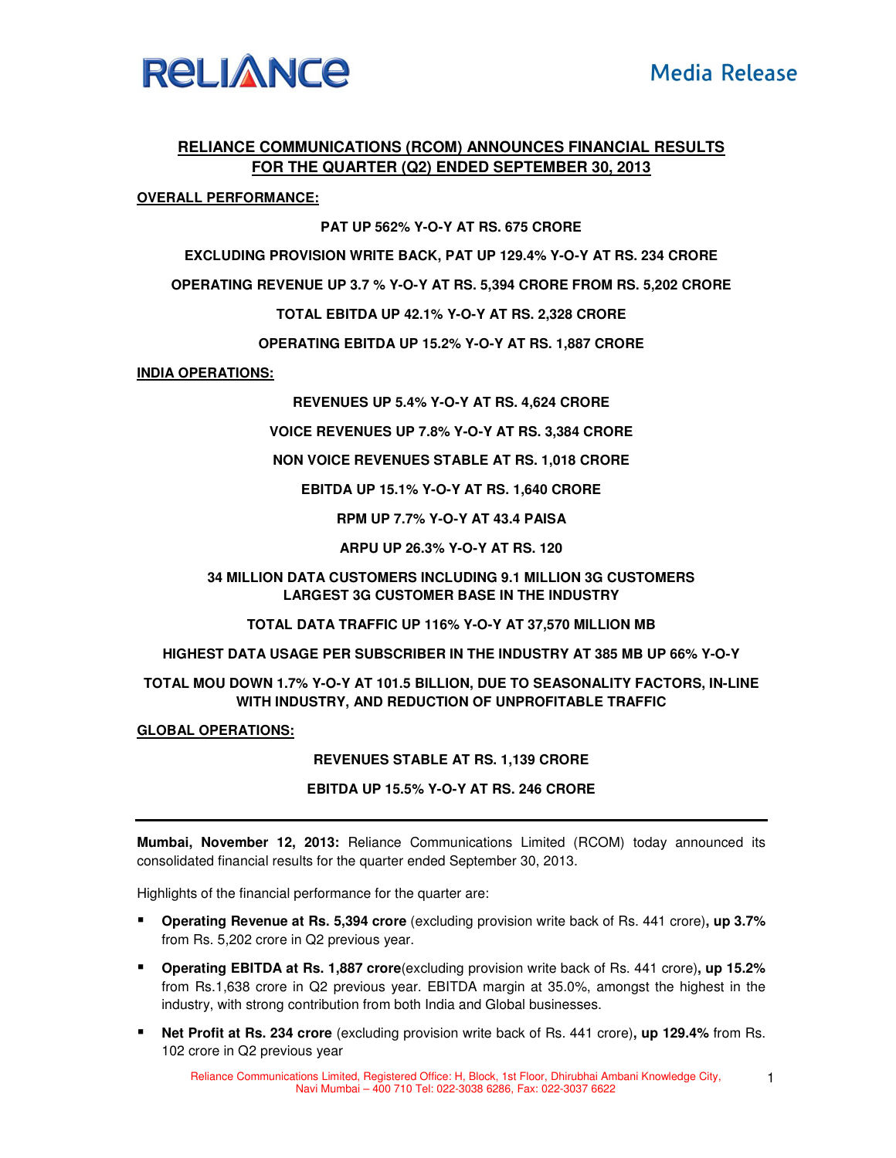

# **RELIANCE COMMUNICATIONS (RCOM) ANNOUNCES FINANCIAL RESULTS FOR THE QUARTER (Q2) ENDED SEPTEMBER 30, 2013**

## **OVERALL PERFORMANCE:**

## **PAT UP 562% Y-O-Y AT RS. 675 CRORE**

**EXCLUDING PROVISION WRITE BACK, PAT UP 129.4% Y-O-Y AT RS. 234 CRORE** 

**OPERATING REVENUE UP 3.7 % Y-O-Y AT RS. 5,394 CRORE FROM RS. 5,202 CRORE** 

#### **TOTAL EBITDA UP 42.1% Y-O-Y AT RS. 2,328 CRORE**

**OPERATING EBITDA UP 15.2% Y-O-Y AT RS. 1,887 CRORE** 

#### **INDIA OPERATIONS:**

**REVENUES UP 5.4% Y-O-Y AT RS. 4,624 CRORE** 

**VOICE REVENUES UP 7.8% Y-O-Y AT RS. 3,384 CRORE** 

**NON VOICE REVENUES STABLE AT RS. 1,018 CRORE** 

**EBITDA UP 15.1% Y-O-Y AT RS. 1,640 CRORE** 

**RPM UP 7.7% Y-O-Y AT 43.4 PAISA** 

**ARPU UP 26.3% Y-O-Y AT RS. 120** 

## **34 MILLION DATA CUSTOMERS INCLUDING 9.1 MILLION 3G CUSTOMERS LARGEST 3G CUSTOMER BASE IN THE INDUSTRY**

**TOTAL DATA TRAFFIC UP 116% Y-O-Y AT 37,570 MILLION MB** 

#### **HIGHEST DATA USAGE PER SUBSCRIBER IN THE INDUSTRY AT 385 MB UP 66% Y-O-Y**

## **TOTAL MOU DOWN 1.7% Y-O-Y AT 101.5 BILLION, DUE TO SEASONALITY FACTORS, IN-LINE WITH INDUSTRY, AND REDUCTION OF UNPROFITABLE TRAFFIC**

#### **GLOBAL OPERATIONS:**

## **REVENUES STABLE AT RS. 1,139 CRORE**

#### **EBITDA UP 15.5% Y-O-Y AT RS. 246 CRORE**

**Mumbai, November 12, 2013:** Reliance Communications Limited (RCOM) today announced its consolidated financial results for the quarter ended September 30, 2013.

Highlights of the financial performance for the quarter are:

- **Operating Revenue at Rs. 5,394 crore** (excluding provision write back of Rs. 441 crore)**, up 3.7%** from Rs. 5,202 crore in Q2 previous year.
- **Operating EBITDA at Rs. 1,887 crore**(excluding provision write back of Rs. 441 crore)**, up 15.2%**  from Rs.1,638 crore in Q2 previous year. EBITDA margin at 35.0%, amongst the highest in the industry, with strong contribution from both India and Global businesses.
- **Net Profit at Rs. 234 crore** (excluding provision write back of Rs. 441 crore)**, up 129.4%** from Rs. 102 crore in Q2 previous year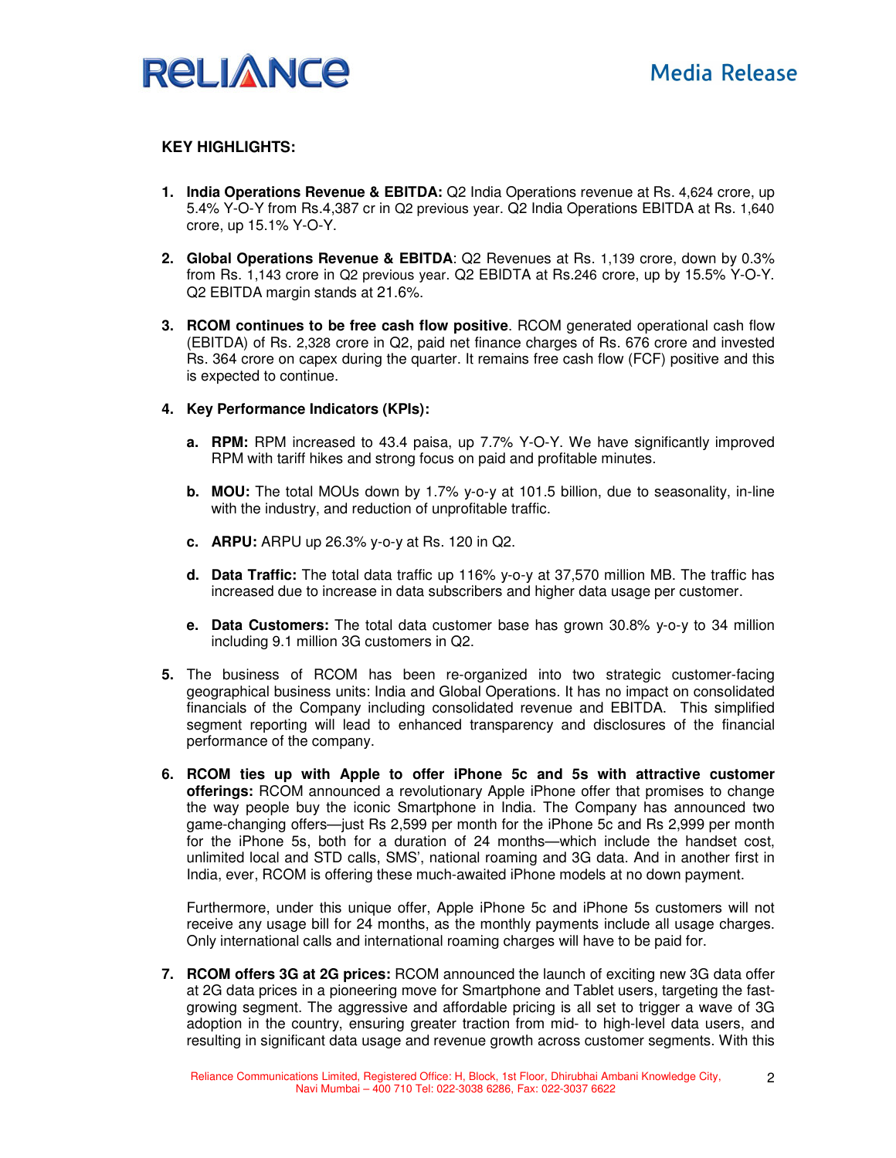

## **KEY HIGHLIGHTS:**

- **1. India Operations Revenue & EBITDA:** Q2 India Operations revenue at Rs. 4,624 crore, up 5.4% Y-O-Y from Rs.4,387 cr in Q2 previous year. Q2 India Operations EBITDA at Rs. 1,640 crore, up 15.1% Y-O-Y.
- **2. Global Operations Revenue & EBITDA**: Q2 Revenues at Rs. 1,139 crore, down by 0.3% from Rs. 1,143 crore in Q2 previous year. Q2 EBIDTA at Rs.246 crore, up by 15.5% Y-O-Y. Q2 EBITDA margin stands at 21.6%.
- **3. RCOM continues to be free cash flow positive**. RCOM generated operational cash flow (EBITDA) of Rs. 2,328 crore in Q2, paid net finance charges of Rs. 676 crore and invested Rs. 364 crore on capex during the quarter. It remains free cash flow (FCF) positive and this is expected to continue.
- **4. Key Performance Indicators (KPIs):** 
	- **a. RPM:** RPM increased to 43.4 paisa, up 7.7% Y-O-Y. We have significantly improved RPM with tariff hikes and strong focus on paid and profitable minutes.
	- **b. MOU:** The total MOUs down by 1.7% y-o-y at 101.5 billion, due to seasonality, in-line with the industry, and reduction of unprofitable traffic.
	- **c. ARPU:** ARPU up 26.3% y-o-y at Rs. 120 in Q2.
	- **d. Data Traffic:** The total data traffic up 116% y-o-y at 37,570 million MB. The traffic has increased due to increase in data subscribers and higher data usage per customer.
	- **e. Data Customers:** The total data customer base has grown 30.8% y-o-y to 34 million including 9.1 million 3G customers in Q2.
- **5.** The business of RCOM has been re-organized into two strategic customer-facing geographical business units: India and Global Operations. It has no impact on consolidated financials of the Company including consolidated revenue and EBITDA. This simplified segment reporting will lead to enhanced transparency and disclosures of the financial performance of the company.
- **6. RCOM ties up with Apple to offer iPhone 5c and 5s with attractive customer offerings:** RCOM announced a revolutionary Apple iPhone offer that promises to change the way people buy the iconic Smartphone in India. The Company has announced two game-changing offers—just Rs 2,599 per month for the iPhone 5c and Rs 2,999 per month for the iPhone 5s, both for a duration of 24 months—which include the handset cost, unlimited local and STD calls, SMS', national roaming and 3G data. And in another first in India, ever, RCOM is offering these much-awaited iPhone models at no down payment.

Furthermore, under this unique offer, Apple iPhone 5c and iPhone 5s customers will not receive any usage bill for 24 months, as the monthly payments include all usage charges. Only international calls and international roaming charges will have to be paid for.

**7. RCOM offers 3G at 2G prices:** RCOM announced the launch of exciting new 3G data offer at 2G data prices in a pioneering move for Smartphone and Tablet users, targeting the fastgrowing segment. The aggressive and affordable pricing is all set to trigger a wave of 3G adoption in the country, ensuring greater traction from mid- to high-level data users, and resulting in significant data usage and revenue growth across customer segments. With this

2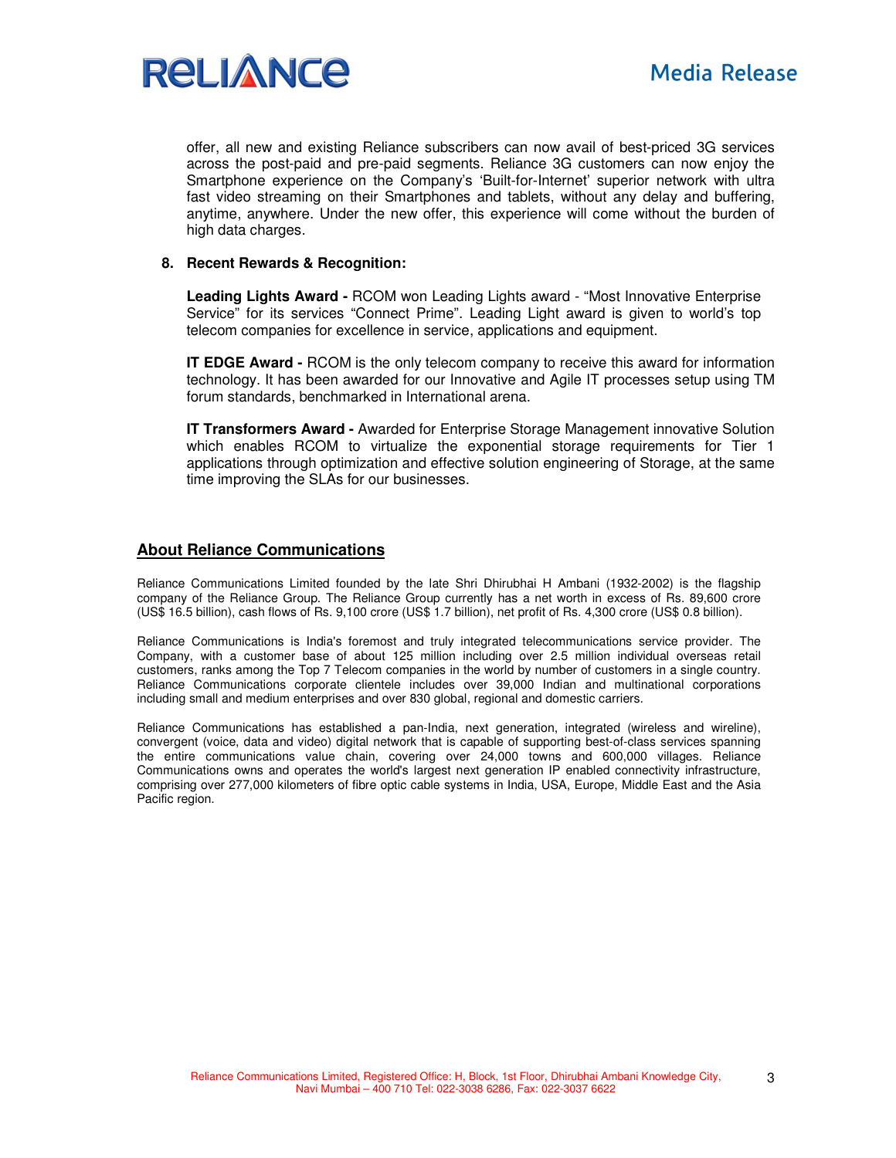

offer, all new and existing Reliance subscribers can now avail of best-priced 3G services across the post-paid and pre-paid segments. Reliance 3G customers can now enjoy the Smartphone experience on the Company's 'Built-for-Internet' superior network with ultra fast video streaming on their Smartphones and tablets, without any delay and buffering, anytime, anywhere. Under the new offer, this experience will come without the burden of high data charges.

### **8. Recent Rewards & Recognition:**

**Leading Lights Award -** RCOM won Leading Lights award - "Most Innovative Enterprise Service" for its services "Connect Prime". Leading Light award is given to world's top telecom companies for excellence in service, applications and equipment.

**IT EDGE Award - RCOM** is the only telecom company to receive this award for information technology. It has been awarded for our Innovative and Agile IT processes setup using TM forum standards, benchmarked in International arena.

**IT Transformers Award -** Awarded for Enterprise Storage Management innovative Solution which enables RCOM to virtualize the exponential storage requirements for Tier 1 applications through optimization and effective solution engineering of Storage, at the same time improving the SLAs for our businesses.

## **About Reliance Communications**

Reliance Communications Limited founded by the late Shri Dhirubhai H Ambani (1932-2002) is the flagship company of the Reliance Group. The Reliance Group currently has a net worth in excess of Rs. 89,600 crore (US\$ 16.5 billion), cash flows of Rs. 9,100 crore (US\$ 1.7 billion), net profit of Rs. 4,300 crore (US\$ 0.8 billion).

Reliance Communications is India's foremost and truly integrated telecommunications service provider. The Company, with a customer base of about 125 million including over 2.5 million individual overseas retail customers, ranks among the Top 7 Telecom companies in the world by number of customers in a single country. Reliance Communications corporate clientele includes over 39,000 Indian and multinational corporations including small and medium enterprises and over 830 global, regional and domestic carriers.

Reliance Communications has established a pan-India, next generation, integrated (wireless and wireline), convergent (voice, data and video) digital network that is capable of supporting best-of-class services spanning the entire communications value chain, covering over 24,000 towns and 600,000 villages. Reliance Communications owns and operates the world's largest next generation IP enabled connectivity infrastructure, comprising over 277,000 kilometers of fibre optic cable systems in India, USA, Europe, Middle East and the Asia Pacific region.

3